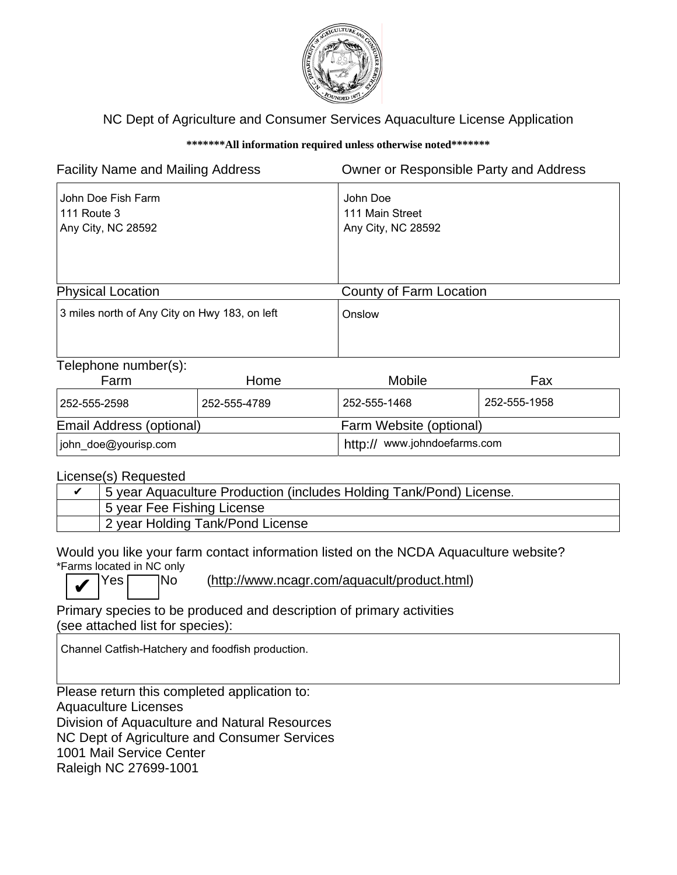

## NC Dept of Agriculture and Consumer Services Aquaculture License Application

## **\*\*\*\*\*\*\*All information required unless otherwise noted\*\*\*\*\*\*\***

| <b>Facility Name and Mailing Address</b>                       |      |                                                   | Owner or Responsible Party and Address |  |
|----------------------------------------------------------------|------|---------------------------------------------------|----------------------------------------|--|
| John Doe Fish Farm<br><b>111 Route 3</b><br>Any City, NC 28592 |      | John Doe<br>111 Main Street<br>Any City, NC 28592 |                                        |  |
| <b>Physical Location</b>                                       |      | County of Farm Location                           |                                        |  |
| 3 miles north of Any City on Hwy 183, on left                  |      | Onslow                                            |                                        |  |
| Telephone number(s):<br>$E_{\Omega}$ rm                        | ⊔omo | <b>Mobilo</b>                                     | <b>Env</b>                             |  |

| Farm                     | Home         | <b>Mobile</b>                | Fax          |
|--------------------------|--------------|------------------------------|--------------|
| 1252-555-2598            | 252-555-4789 | 252-555-1468                 | 252-555-1958 |
| Email Address (optional) |              | Farm Website (optional)      |              |
| john_doe@yourisp.com     |              | http:// www.johndoefarms.com |              |

License(s) Requested

| 5 year Aquaculture Production (includes Holding Tank/Pond) License. |  |
|---------------------------------------------------------------------|--|
| 5 year Fee Fishing License                                          |  |
| 2 year Holding Tank/Pond License                                    |  |

Would you like your farm contact information listed on the NCDA Aquaculture website? \*Farms located in NC only

✔

Yes No (http://www.ncagr.com/aquacult/product.html)

Primary species to be produced and description of primary activities (see attached list for species):

Channel Catfish-Hatchery and foodfish production.

Please return this completed application to: Aquaculture Licenses Division of Aquaculture and Natural Resources NC Dept of Agriculture and Consumer Services 1001 Mail Service Center Raleigh NC 27699-1001